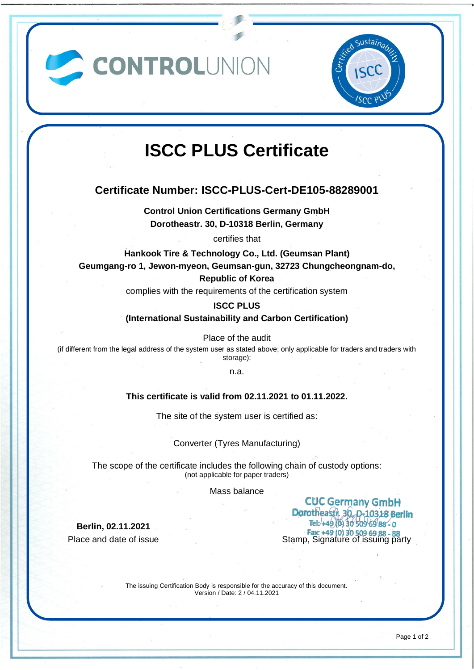CONTROLUNION



# **ISCC PLUS Certificate**

## **Certificate Number: ISCC-PLUS-Cert-DE105-88289001**

**Control Union Certifications Germany GmbH Dorotheastr. 30, D-10318 Berlin, Germany**

certifies that

**Hankook Tire & Technology Co., Ltd. (Geumsan Plant) Geumgang-ro 1, Jewon-myeon, Geumsan-gun, 32723 Chungcheongnam-do,**

**Republic of Korea**

complies with the requirements of the certification system

**ISCC PLUS**

**(International Sustainability and Carbon Certification)**

Place of the audit

(if different from the legal address of the system user as stated above; only applicable for traders and traders with storage):

n.a.

## **This certificate is valid from 02.11.2021 to 01.11.2022.**

The site of the system user is certified as:

Converter (Tyres Manufacturing)

The scope of the certificate includes the following chain of custody options: (not applicable for paper traders)

Mass balance

**Berlin, 02.11.2021**

**CUC Germany GmbH Dorotheasti, 30, p.10318 Berlin**<br>Tel: +49,0130 509 69 88 - 0 **Place and date of issue Stamp, Signature of issuing party**<br>Place and date of issue Stamp, Signature of issuing party

> The issuing Certification Body is responsible for the accuracy of this document. Version / Date: 2 / 04.11.2021